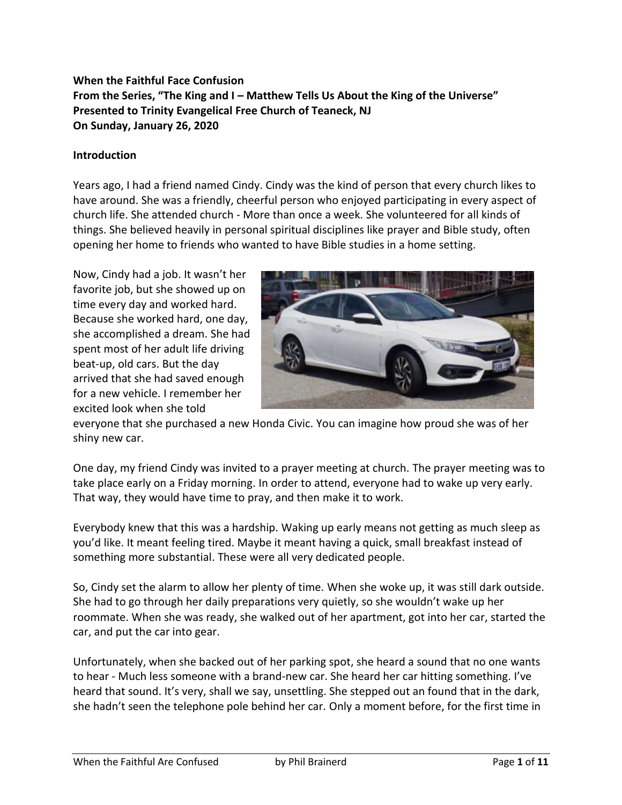# **When the Faithful Face Confusion From the Series, "The King and I – Matthew Tells Us About the King of the Universe" Presented to Trinity Evangelical Free Church of Teaneck, NJ On Sunday, January 26, 2020**

#### **Introduction**

Years ago, I had a friend named Cindy. Cindy was the kind of person that every church likes to have around. She was a friendly, cheerful person who enjoyed participating in every aspect of church life. She attended church - More than once a week. She volunteered for all kinds of things. She believed heavily in personal spiritual disciplines like prayer and Bible study, often opening her home to friends who wanted to have Bible studies in a home setting.

Now, Cindy had a job. It wasn't her favorite job, but she showed up on time every day and worked hard. Because she worked hard, one day, she accomplished a dream. She had spent most of her adult life driving beat-up, old cars. But the day arrived that she had saved enough for a new vehicle. I remember her excited look when she told



everyone that she purchased a new Honda Civic. You can imagine how proud she was of her shiny new car.

One day, my friend Cindy was invited to a prayer meeting at church. The prayer meeting was to take place early on a Friday morning. In order to attend, everyone had to wake up very early. That way, they would have time to pray, and then make it to work.

Everybody knew that this was a hardship. Waking up early means not getting as much sleep as you'd like. It meant feeling tired. Maybe it meant having a quick, small breakfast instead of something more substantial. These were all very dedicated people.

So, Cindy set the alarm to allow her plenty of time. When she woke up, it was still dark outside. She had to go through her daily preparations very quietly, so she wouldn't wake up her roommate. When she was ready, she walked out of her apartment, got into her car, started the car, and put the car into gear.

Unfortunately, when she backed out of her parking spot, she heard a sound that no one wants to hear - Much less someone with a brand-new car. She heard her car hitting something. I've heard that sound. It's very, shall we say, unsettling. She stepped out an found that in the dark, she hadn't seen the telephone pole behind her car. Only a moment before, for the first time in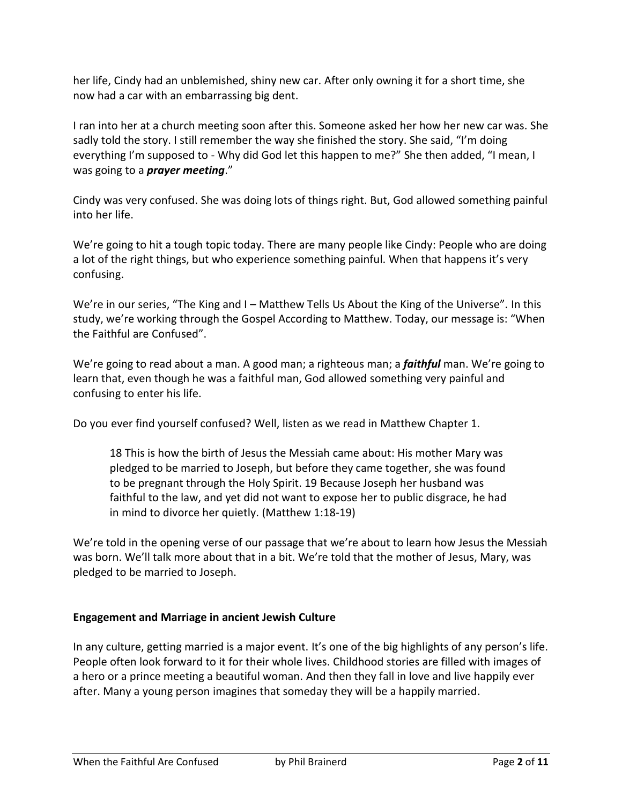her life, Cindy had an unblemished, shiny new car. After only owning it for a short time, she now had a car with an embarrassing big dent.

I ran into her at a church meeting soon after this. Someone asked her how her new car was. She sadly told the story. I still remember the way she finished the story. She said, "I'm doing everything I'm supposed to - Why did God let this happen to me?" She then added, "I mean, I was going to a *prayer meeting*."

Cindy was very confused. She was doing lots of things right. But, God allowed something painful into her life.

We're going to hit a tough topic today. There are many people like Cindy: People who are doing a lot of the right things, but who experience something painful. When that happens it's very confusing.

We're in our series, "The King and I – Matthew Tells Us About the King of the Universe". In this study, we're working through the Gospel According to Matthew. Today, our message is: "When the Faithful are Confused".

We're going to read about a man. A good man; a righteous man; a *faithful* man. We're going to learn that, even though he was a faithful man, God allowed something very painful and confusing to enter his life.

Do you ever find yourself confused? Well, listen as we read in Matthew Chapter 1.

18 This is how the birth of Jesus the Messiah came about: His mother Mary was pledged to be married to Joseph, but before they came together, she was found to be pregnant through the Holy Spirit. 19 Because Joseph her husband was faithful to the law, and yet did not want to expose her to public disgrace, he had in mind to divorce her quietly. (Matthew 1:18-19)

We're told in the opening verse of our passage that we're about to learn how Jesus the Messiah was born. We'll talk more about that in a bit. We're told that the mother of Jesus, Mary, was pledged to be married to Joseph.

## **Engagement and Marriage in ancient Jewish Culture**

In any culture, getting married is a major event. It's one of the big highlights of any person's life. People often look forward to it for their whole lives. Childhood stories are filled with images of a hero or a prince meeting a beautiful woman. And then they fall in love and live happily ever after. Many a young person imagines that someday they will be a happily married.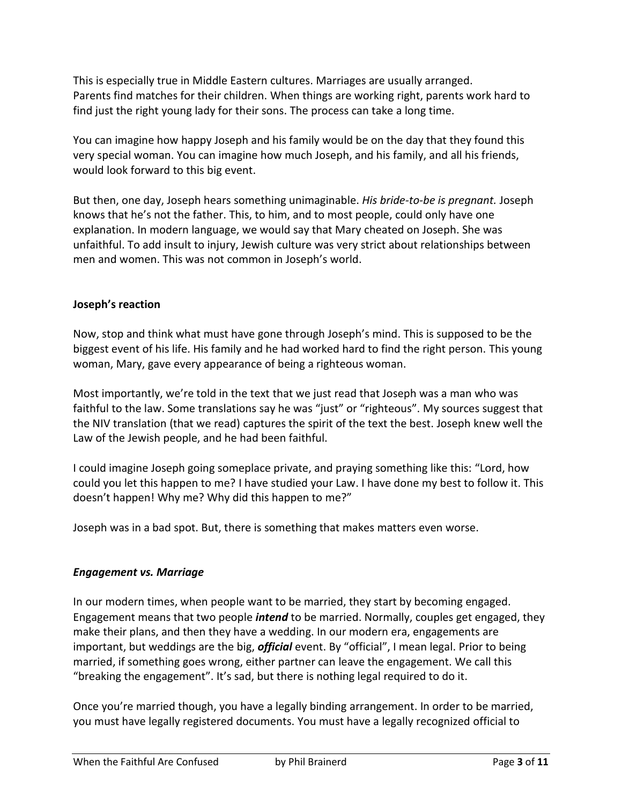This is especially true in Middle Eastern cultures. Marriages are usually arranged. Parents find matches for their children. When things are working right, parents work hard to find just the right young lady for their sons. The process can take a long time.

You can imagine how happy Joseph and his family would be on the day that they found this very special woman. You can imagine how much Joseph, and his family, and all his friends, would look forward to this big event.

But then, one day, Joseph hears something unimaginable. *His bride-to-be is pregnant.* Joseph knows that he's not the father. This, to him, and to most people, could only have one explanation. In modern language, we would say that Mary cheated on Joseph. She was unfaithful. To add insult to injury, Jewish culture was very strict about relationships between men and women. This was not common in Joseph's world.

## **Joseph's reaction**

Now, stop and think what must have gone through Joseph's mind. This is supposed to be the biggest event of his life. His family and he had worked hard to find the right person. This young woman, Mary, gave every appearance of being a righteous woman.

Most importantly, we're told in the text that we just read that Joseph was a man who was faithful to the law. Some translations say he was "just" or "righteous". My sources suggest that the NIV translation (that we read) captures the spirit of the text the best. Joseph knew well the Law of the Jewish people, and he had been faithful.

I could imagine Joseph going someplace private, and praying something like this: "Lord, how could you let this happen to me? I have studied your Law. I have done my best to follow it. This doesn't happen! Why me? Why did this happen to me?"

Joseph was in a bad spot. But, there is something that makes matters even worse.

## *Engagement vs. Marriage*

In our modern times, when people want to be married, they start by becoming engaged. Engagement means that two people *intend* to be married. Normally, couples get engaged, they make their plans, and then they have a wedding. In our modern era, engagements are important, but weddings are the big, *official* event. By "official", I mean legal. Prior to being married, if something goes wrong, either partner can leave the engagement. We call this "breaking the engagement". It's sad, but there is nothing legal required to do it.

Once you're married though, you have a legally binding arrangement. In order to be married, you must have legally registered documents. You must have a legally recognized official to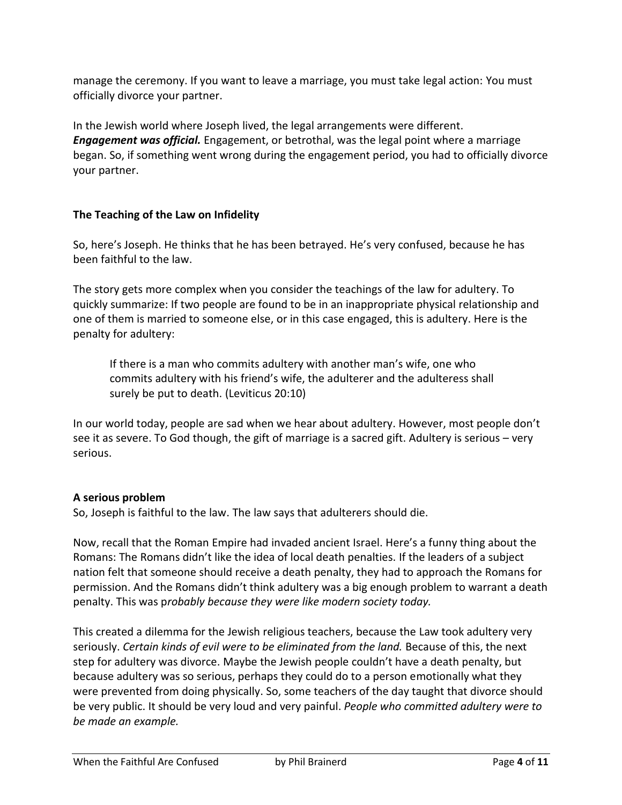manage the ceremony. If you want to leave a marriage, you must take legal action: You must officially divorce your partner.

In the Jewish world where Joseph lived, the legal arrangements were different. *Engagement was official.* Engagement, or betrothal, was the legal point where a marriage began. So, if something went wrong during the engagement period, you had to officially divorce your partner.

# **The Teaching of the Law on Infidelity**

So, here's Joseph. He thinks that he has been betrayed. He's very confused, because he has been faithful to the law.

The story gets more complex when you consider the teachings of the law for adultery. To quickly summarize: If two people are found to be in an inappropriate physical relationship and one of them is married to someone else, or in this case engaged, this is adultery. Here is the penalty for adultery:

If there is a man who commits adultery with another man's wife, one who commits adultery with his friend's wife, the adulterer and the adulteress shall surely be put to death. (Leviticus 20:10)

In our world today, people are sad when we hear about adultery. However, most people don't see it as severe. To God though, the gift of marriage is a sacred gift. Adultery is serious – very serious.

## **A serious problem**

So, Joseph is faithful to the law. The law says that adulterers should die.

Now, recall that the Roman Empire had invaded ancient Israel. Here's a funny thing about the Romans: The Romans didn't like the idea of local death penalties. If the leaders of a subject nation felt that someone should receive a death penalty, they had to approach the Romans for permission. And the Romans didn't think adultery was a big enough problem to warrant a death penalty. This was p*robably because they were like modern society today.*

This created a dilemma for the Jewish religious teachers, because the Law took adultery very seriously. *Certain kinds of evil were to be eliminated from the land.* Because of this, the next step for adultery was divorce. Maybe the Jewish people couldn't have a death penalty, but because adultery was so serious, perhaps they could do to a person emotionally what they were prevented from doing physically. So, some teachers of the day taught that divorce should be very public. It should be very loud and very painful. *People who committed adultery were to be made an example.*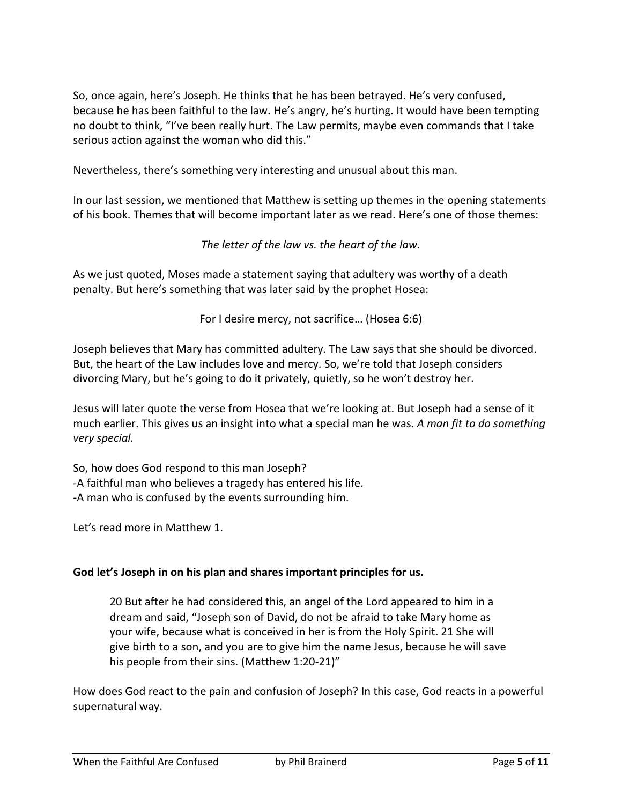So, once again, here's Joseph. He thinks that he has been betrayed. He's very confused, because he has been faithful to the law. He's angry, he's hurting. It would have been tempting no doubt to think, "I've been really hurt. The Law permits, maybe even commands that I take serious action against the woman who did this."

Nevertheless, there's something very interesting and unusual about this man.

In our last session, we mentioned that Matthew is setting up themes in the opening statements of his book. Themes that will become important later as we read. Here's one of those themes:

*The letter of the law vs. the heart of the law.*

As we just quoted, Moses made a statement saying that adultery was worthy of a death penalty. But here's something that was later said by the prophet Hosea:

For I desire mercy, not sacrifice… (Hosea 6:6)

Joseph believes that Mary has committed adultery. The Law says that she should be divorced. But, the heart of the Law includes love and mercy. So, we're told that Joseph considers divorcing Mary, but he's going to do it privately, quietly, so he won't destroy her.

Jesus will later quote the verse from Hosea that we're looking at. But Joseph had a sense of it much earlier. This gives us an insight into what a special man he was. *A man fit to do something very special.*

So, how does God respond to this man Joseph? -A faithful man who believes a tragedy has entered his life. -A man who is confused by the events surrounding him.

Let's read more in Matthew 1.

#### **God let's Joseph in on his plan and shares important principles for us.**

20 But after he had considered this, an angel of the Lord appeared to him in a dream and said, "Joseph son of David, do not be afraid to take Mary home as your wife, because what is conceived in her is from the Holy Spirit. 21 She will give birth to a son, and you are to give him the name Jesus, because he will save his people from their sins. (Matthew 1:20-21)"

How does God react to the pain and confusion of Joseph? In this case, God reacts in a powerful supernatural way.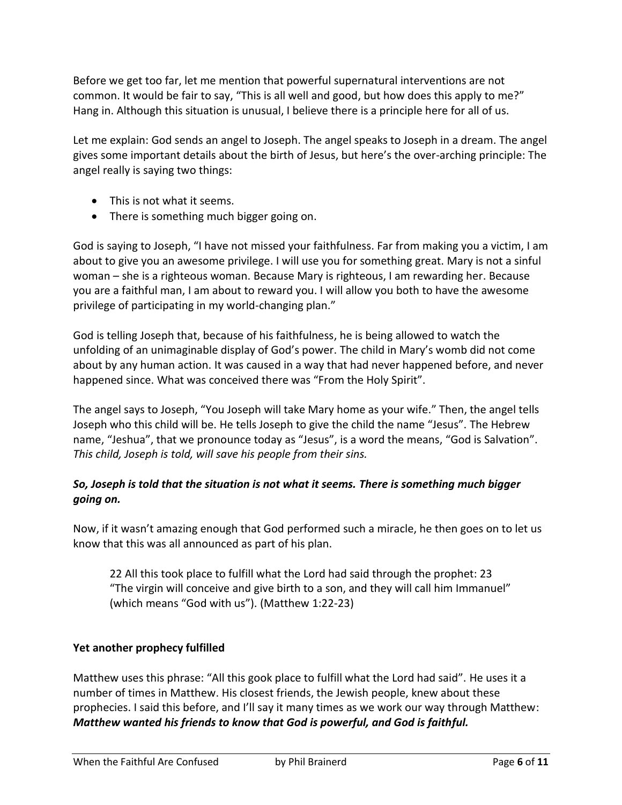Before we get too far, let me mention that powerful supernatural interventions are not common. It would be fair to say, "This is all well and good, but how does this apply to me?" Hang in. Although this situation is unusual, I believe there is a principle here for all of us.

Let me explain: God sends an angel to Joseph. The angel speaks to Joseph in a dream. The angel gives some important details about the birth of Jesus, but here's the over-arching principle: The angel really is saying two things:

- This is not what it seems.
- There is something much bigger going on.

God is saying to Joseph, "I have not missed your faithfulness. Far from making you a victim, I am about to give you an awesome privilege. I will use you for something great. Mary is not a sinful woman – she is a righteous woman. Because Mary is righteous, I am rewarding her. Because you are a faithful man, I am about to reward you. I will allow you both to have the awesome privilege of participating in my world-changing plan."

God is telling Joseph that, because of his faithfulness, he is being allowed to watch the unfolding of an unimaginable display of God's power. The child in Mary's womb did not come about by any human action. It was caused in a way that had never happened before, and never happened since. What was conceived there was "From the Holy Spirit".

The angel says to Joseph, "You Joseph will take Mary home as your wife." Then, the angel tells Joseph who this child will be. He tells Joseph to give the child the name "Jesus". The Hebrew name, "Jeshua", that we pronounce today as "Jesus", is a word the means, "God is Salvation". *This child, Joseph is told, will save his people from their sins.*

# *So, Joseph is told that the situation is not what it seems. There is something much bigger going on.*

Now, if it wasn't amazing enough that God performed such a miracle, he then goes on to let us know that this was all announced as part of his plan.

22 All this took place to fulfill what the Lord had said through the prophet: 23 "The virgin will conceive and give birth to a son, and they will call him Immanuel" (which means "God with us"). (Matthew 1:22-23)

## **Yet another prophecy fulfilled**

Matthew uses this phrase: "All this gook place to fulfill what the Lord had said". He uses it a number of times in Matthew. His closest friends, the Jewish people, knew about these prophecies. I said this before, and I'll say it many times as we work our way through Matthew: *Matthew wanted his friends to know that God is powerful, and God is faithful.*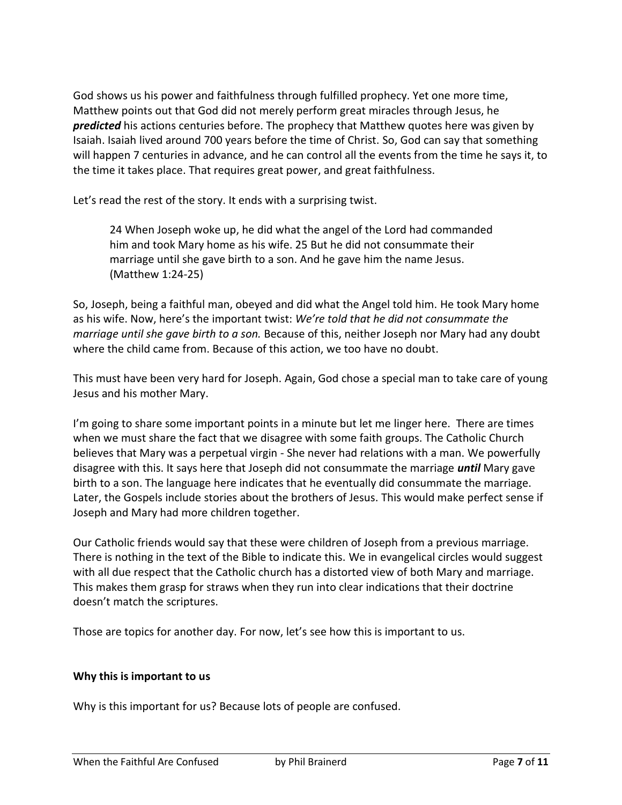God shows us his power and faithfulness through fulfilled prophecy. Yet one more time, Matthew points out that God did not merely perform great miracles through Jesus, he *predicted* his actions centuries before. The prophecy that Matthew quotes here was given by Isaiah. Isaiah lived around 700 years before the time of Christ. So, God can say that something will happen 7 centuries in advance, and he can control all the events from the time he says it, to the time it takes place. That requires great power, and great faithfulness.

Let's read the rest of the story. It ends with a surprising twist.

24 When Joseph woke up, he did what the angel of the Lord had commanded him and took Mary home as his wife. 25 But he did not consummate their marriage until she gave birth to a son. And he gave him the name Jesus. (Matthew 1:24-25)

So, Joseph, being a faithful man, obeyed and did what the Angel told him. He took Mary home as his wife. Now, here's the important twist: *We're told that he did not consummate the marriage until she gave birth to a son.* Because of this, neither Joseph nor Mary had any doubt where the child came from. Because of this action, we too have no doubt.

This must have been very hard for Joseph. Again, God chose a special man to take care of young Jesus and his mother Mary.

I'm going to share some important points in a minute but let me linger here. There are times when we must share the fact that we disagree with some faith groups. The Catholic Church believes that Mary was a perpetual virgin - She never had relations with a man. We powerfully disagree with this. It says here that Joseph did not consummate the marriage *until* Mary gave birth to a son. The language here indicates that he eventually did consummate the marriage. Later, the Gospels include stories about the brothers of Jesus. This would make perfect sense if Joseph and Mary had more children together.

Our Catholic friends would say that these were children of Joseph from a previous marriage. There is nothing in the text of the Bible to indicate this. We in evangelical circles would suggest with all due respect that the Catholic church has a distorted view of both Mary and marriage. This makes them grasp for straws when they run into clear indications that their doctrine doesn't match the scriptures.

Those are topics for another day. For now, let's see how this is important to us.

#### **Why this is important to us**

Why is this important for us? Because lots of people are confused.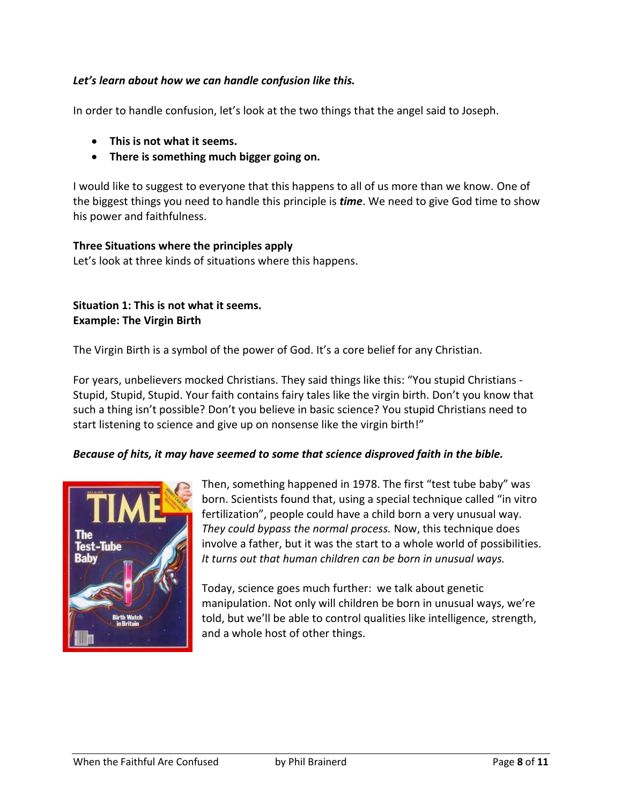### *Let's learn about how we can handle confusion like this.*

In order to handle confusion, let's look at the two things that the angel said to Joseph.

- **This is not what it seems.**
- **There is something much bigger going on.**

I would like to suggest to everyone that this happens to all of us more than we know. One of the biggest things you need to handle this principle is *time*. We need to give God time to show his power and faithfulness.

#### **Three Situations where the principles apply**

Let's look at three kinds of situations where this happens.

### **Situation 1: This is not what it seems. Example: The Virgin Birth**

The Virgin Birth is a symbol of the power of God. It's a core belief for any Christian.

For years, unbelievers mocked Christians. They said things like this: "You stupid Christians - Stupid, Stupid, Stupid. Your faith contains fairy tales like the virgin birth. Don't you know that such a thing isn't possible? Don't you believe in basic science? You stupid Christians need to start listening to science and give up on nonsense like the virgin birth!"

#### *Because of hits, it may have seemed to some that science disproved faith in the bible.*



Then, something happened in 1978. The first "test tube baby" was born. Scientists found that, using a special technique called "in vitro fertilization", people could have a child born a very unusual way. *They could bypass the normal process.* Now, this technique does involve a father, but it was the start to a whole world of possibilities. *It turns out that human children can be born in unusual ways.*

Today, science goes much further: we talk about genetic manipulation. Not only will children be born in unusual ways, we're told, but we'll be able to control qualities like intelligence, strength, and a whole host of other things.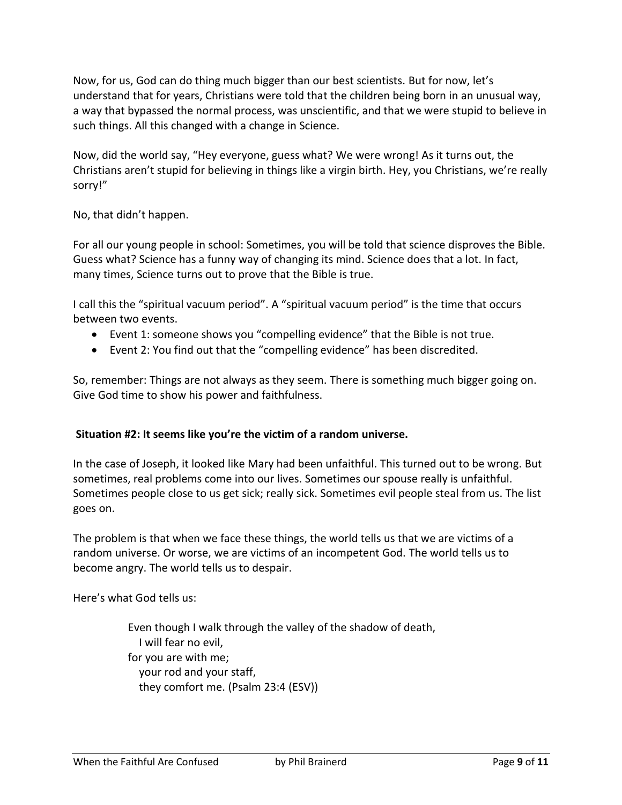Now, for us, God can do thing much bigger than our best scientists. But for now, let's understand that for years, Christians were told that the children being born in an unusual way, a way that bypassed the normal process, was unscientific, and that we were stupid to believe in such things. All this changed with a change in Science.

Now, did the world say, "Hey everyone, guess what? We were wrong! As it turns out, the Christians aren't stupid for believing in things like a virgin birth. Hey, you Christians, we're really sorry!"

No, that didn't happen.

For all our young people in school: Sometimes, you will be told that science disproves the Bible. Guess what? Science has a funny way of changing its mind. Science does that a lot. In fact, many times, Science turns out to prove that the Bible is true.

I call this the "spiritual vacuum period". A "spiritual vacuum period" is the time that occurs between two events.

- Event 1: someone shows you "compelling evidence" that the Bible is not true.
- Event 2: You find out that the "compelling evidence" has been discredited.

So, remember: Things are not always as they seem. There is something much bigger going on. Give God time to show his power and faithfulness.

#### **Situation #2: It seems like you're the victim of a random universe.**

In the case of Joseph, it looked like Mary had been unfaithful. This turned out to be wrong. But sometimes, real problems come into our lives. Sometimes our spouse really is unfaithful. Sometimes people close to us get sick; really sick. Sometimes evil people steal from us. The list goes on.

The problem is that when we face these things, the world tells us that we are victims of a random universe. Or worse, we are victims of an incompetent God. The world tells us to become angry. The world tells us to despair.

Here's what God tells us:

Even though I walk through the valley of the shadow of death, I will fear no evil, for you are with me; your rod and your staff, they comfort me. (Psalm 23:4 (ESV))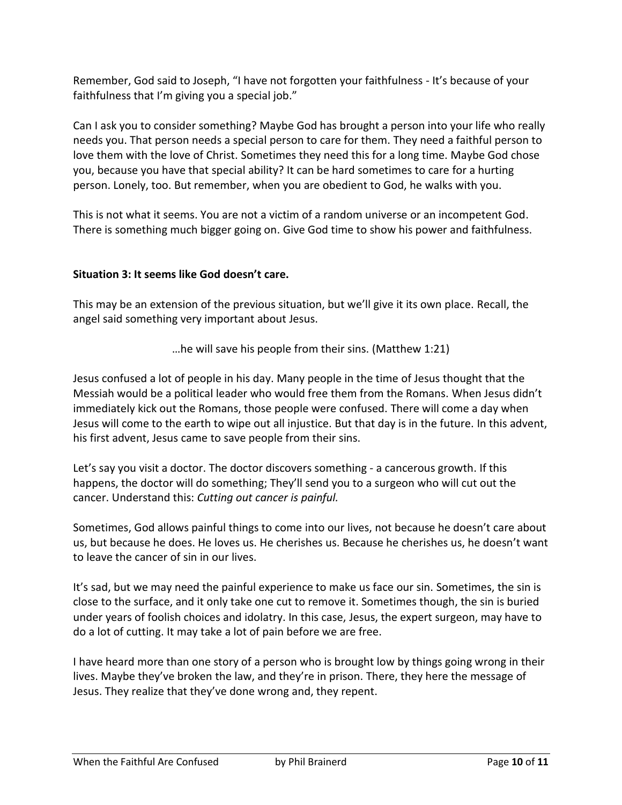Remember, God said to Joseph, "I have not forgotten your faithfulness - It's because of your faithfulness that I'm giving you a special job."

Can I ask you to consider something? Maybe God has brought a person into your life who really needs you. That person needs a special person to care for them. They need a faithful person to love them with the love of Christ. Sometimes they need this for a long time. Maybe God chose you, because you have that special ability? It can be hard sometimes to care for a hurting person. Lonely, too. But remember, when you are obedient to God, he walks with you.

This is not what it seems. You are not a victim of a random universe or an incompetent God. There is something much bigger going on. Give God time to show his power and faithfulness.

# **Situation 3: It seems like God doesn't care.**

This may be an extension of the previous situation, but we'll give it its own place. Recall, the angel said something very important about Jesus.

…he will save his people from their sins. (Matthew 1:21)

Jesus confused a lot of people in his day. Many people in the time of Jesus thought that the Messiah would be a political leader who would free them from the Romans. When Jesus didn't immediately kick out the Romans, those people were confused. There will come a day when Jesus will come to the earth to wipe out all injustice. But that day is in the future. In this advent, his first advent, Jesus came to save people from their sins.

Let's say you visit a doctor. The doctor discovers something - a cancerous growth. If this happens, the doctor will do something; They'll send you to a surgeon who will cut out the cancer. Understand this: *Cutting out cancer is painful.*

Sometimes, God allows painful things to come into our lives, not because he doesn't care about us, but because he does. He loves us. He cherishes us. Because he cherishes us, he doesn't want to leave the cancer of sin in our lives.

It's sad, but we may need the painful experience to make us face our sin. Sometimes, the sin is close to the surface, and it only take one cut to remove it. Sometimes though, the sin is buried under years of foolish choices and idolatry. In this case, Jesus, the expert surgeon, may have to do a lot of cutting. It may take a lot of pain before we are free.

I have heard more than one story of a person who is brought low by things going wrong in their lives. Maybe they've broken the law, and they're in prison. There, they here the message of Jesus. They realize that they've done wrong and, they repent.